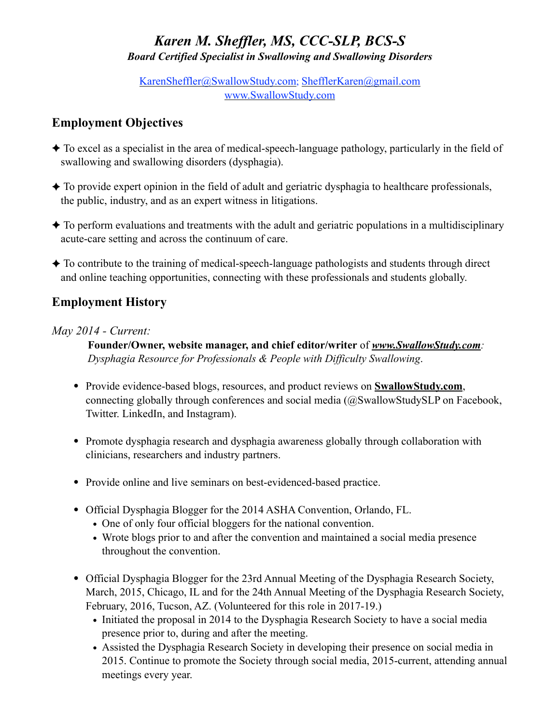# *Karen M. Sheffler, MS, CCC-SLP, BCS-S Board Certified Specialist in Swallowing and Swallowing Disorders*

[KarenSheffler@SwallowStudy.com](mailto:KarenSheffler@SwallowStudy.com); [ShefflerKaren@gmail.com](mailto:ShefflerKaren@gmail.com) [www.SwallowStudy.com](http://www.SwallowStudy.com)

# **Employment Objectives**

- ✦ To excel as a specialist in the area of medical-speech-language pathology, particularly in the field of swallowing and swallowing disorders (dysphagia).
- $\triangle$  To provide expert opinion in the field of adult and geriatric dysphagia to healthcare professionals, the public, industry, and as an expert witness in litigations.
- $\triangle$  To perform evaluations and treatments with the adult and geriatric populations in a multidisciplinary acute-care setting and across the continuum of care.
- ✦ To contribute to the training of medical-speech-language pathologists and students through direct and online teaching opportunities, connecting with these professionals and students globally.

## **Employment History**

## *May 2014 - Current:*

**Founder/Owner, website manager, and chief editor/writer** of *[www.SwallowStudy.com](http://www.SwallowStudy.com): Dysphagia Resource for Professionals & People with Difficulty Swallowing*.

- **•** Provide evidence-based blogs, resources, and product reviews on **[SwallowStudy.com](http://SwallowStudy.com)**, connecting globally through conferences and social media (@SwallowStudySLP on Facebook, Twitter. LinkedIn, and Instagram).
- **•** Promote dysphagia research and dysphagia awareness globally through collaboration with clinicians, researchers and industry partners.
- **•** Provide online and live seminars on best-evidenced-based practice.
- **•** Official Dysphagia Blogger for the 2014 ASHA Convention, Orlando, FL.
	- **•** One of only four official bloggers for the national convention.
	- Wrote blogs prior to and after the convention and maintained a social media presence throughout the convention.
- Official Dysphagia Blogger for the 23rd Annual Meeting of the Dysphagia Research Society, March, 2015, Chicago, IL and for the 24th Annual Meeting of the Dysphagia Research Society, February, 2016, Tucson, AZ. (Volunteered for this role in 2017-19.)
	- Initiated the proposal in 2014 to the Dysphagia Research Society to have a social media presence prior to, during and after the meeting.
	- **•** Assisted the Dysphagia Research Society in developing their presence on social media in 2015. Continue to promote the Society through social media, 2015-current, attending annual meetings every year.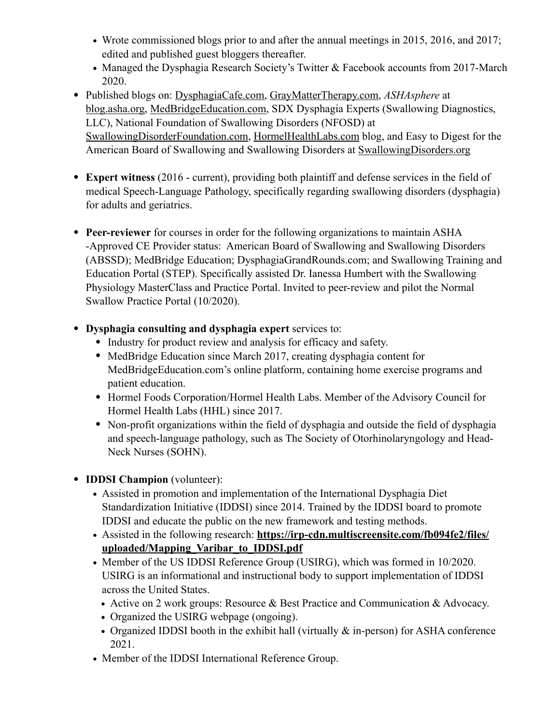- Wrote commissioned blogs prior to and after the annual meetings in 2015, 2016, and 2017; edited and published guest bloggers thereafter.
- **•** Managed the Dysphagia Research Society's Twitter & Facebook accounts from 2017-March 2020.
- **•** Published blogs on: [DysphagiaCafe.com](http://DysphagiaCafe.com), [GrayMatterTherapy.com,](http://GrayMatterTherapy.com) *ASHAsphere* at [blog.asha.org](http://blog.asha.org), [MedBridgeEducation.com](http://MedBridgeEducation.com), SDX Dysphagia Experts (Swallowing Diagnostics, LLC), National Foundation of Swallowing Disorders (NFOSD) at [SwallowingDisorderFoundation.com](http://SwallowingDisorderFoundation.com), [HormelHealthLabs.com](http://HormelHealthLabs.com) blog, and Easy to Digest for the American Board of Swallowing and Swallowing Disorders at [SwallowingDisorders.org](http://SwallowingDisorders.org)
- **• Expert witness** (2016 current), providing both plaintiff and defense services in the field of medical Speech-Language Pathology, specifically regarding swallowing disorders (dysphagia) for adults and geriatrics.
- **• Peer-reviewer** for courses in order for the following organizations to maintain ASHA -Approved CE Provider status: American Board of Swallowing and Swallowing Disorders (ABSSD); MedBridge Education; DysphagiaGrandRounds.com; and Swallowing Training and Education Portal (STEP). Specifically assisted Dr. Ianessa Humbert with the Swallowing Physiology MasterClass and Practice Portal. Invited to peer-review and pilot the Normal Swallow Practice Portal (10/2020).
- **• Dysphagia consulting and dysphagia expert** services to:
	- **•** Industry for product review and analysis for efficacy and safety.
	- **•** MedBridge Education since March 2017, creating dysphagia content for MedBridgeEducation.com's online platform, containing home exercise programs and patient education.
	- **•** Hormel Foods Corporation/Hormel Health Labs. Member of the Advisory Council for Hormel Health Labs (HHL) since 2017.
	- **•** Non-profit organizations within the field of dysphagia and outside the field of dysphagia and speech-language pathology, such as The Society of Otorhinolaryngology and Head-Neck Nurses (SOHN).
- **• IDDSI Champion** (volunteer):
	- **•** Assisted in promotion and implementation of the International Dysphagia Diet Standardization Initiative (IDDSI) since 2014. Trained by the IDDSI board to promote IDDSI and educate the public on the new framework and testing methods.
	- **•** Assisted in the following research: **[https://irp-cdn.multiscreensite.com/fb094fe2/files/](https://irp-cdn.multiscreensite.com/fb094fe2/files/uploaded/Mapping_Varibar_to_IDDSI.pdf) [uploaded/Mapping\\_Varibar\\_to\\_IDDSI.pdf](https://irp-cdn.multiscreensite.com/fb094fe2/files/uploaded/Mapping_Varibar_to_IDDSI.pdf)**
	- **•** Member of the US IDDSI Reference Group (USIRG), which was formed in 10/2020. USIRG is an informational and instructional body to support implementation of IDDSI across the United States.
		- **•** Active on 2 work groups: Resource & Best Practice and Communication & Advocacy.
		- **•** Organized the USIRG webpage (ongoing).
		- Organized IDDSI booth in the exhibit hall (virtually  $\&$  in-person) for ASHA conference 2021.
	- **•** Member of the IDDSI International Reference Group.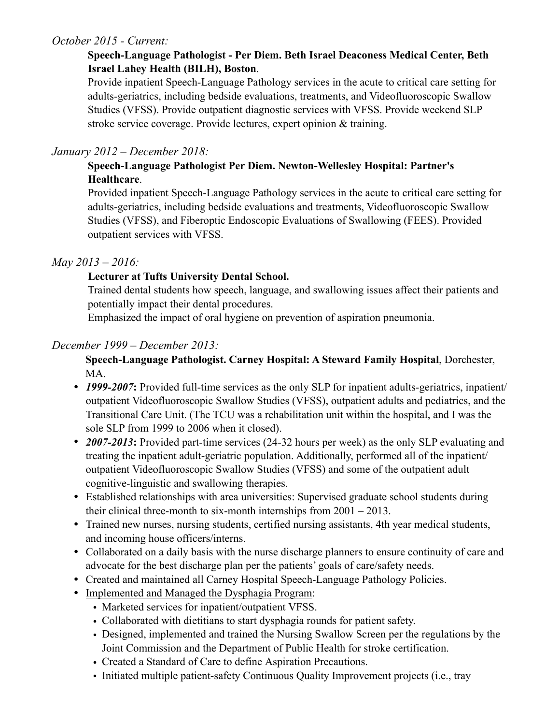## *October 2015 - Current:*

### **Speech-Language Pathologist - Per Diem. Beth Israel Deaconess Medical Center, Beth Israel Lahey Health (BILH), Boston**.

Provide inpatient Speech-Language Pathology services in the acute to critical care setting for adults-geriatrics, including bedside evaluations, treatments, and Videofluoroscopic Swallow Studies (VFSS). Provide outpatient diagnostic services with VFSS. Provide weekend SLP stroke service coverage. Provide lectures, expert opinion & training.

### *January 2012 – December 2018:*

### **Speech-Language Pathologist Per Diem. Newton-Wellesley Hospital: Partner's Healthcare**.

Provided inpatient Speech-Language Pathology services in the acute to critical care setting for adults-geriatrics, including bedside evaluations and treatments, Videofluoroscopic Swallow Studies (VFSS), and Fiberoptic Endoscopic Evaluations of Swallowing (FEES). Provided outpatient services with VFSS.

#### *May 2013 – 2016:*

## **Lecturer at Tufts University Dental School.**

Trained dental students how speech, language, and swallowing issues affect their patients and potentially impact their dental procedures.

Emphasized the impact of oral hygiene on prevention of aspiration pneumonia.

## *December 1999 – December 2013:*

**Speech-Language Pathologist. Carney Hospital: A Steward Family Hospital**, Dorchester, MA.

- **1999-2007:** Provided full-time services as the only SLP for inpatient adults-geriatrics, inpatient/ outpatient Videofluoroscopic Swallow Studies (VFSS), outpatient adults and pediatrics, and the Transitional Care Unit. (The TCU was a rehabilitation unit within the hospital, and I was the sole SLP from 1999 to 2006 when it closed).
- **2007-2013:** Provided part-time services (24-32 hours per week) as the only SLP evaluating and treating the inpatient adult-geriatric population. Additionally, performed all of the inpatient/ outpatient Videofluoroscopic Swallow Studies (VFSS) and some of the outpatient adult cognitive-linguistic and swallowing therapies.
- Established relationships with area universities: Supervised graduate school students during their clinical three-month to six-month internships from 2001 – 2013.
- Trained new nurses, nursing students, certified nursing assistants, 4th year medical students, and incoming house officers/interns.
- Collaborated on a daily basis with the nurse discharge planners to ensure continuity of care and advocate for the best discharge plan per the patients' goals of care/safety needs.
- Created and maintained all Carney Hospital Speech-Language Pathology Policies.
- Implemented and Managed the Dysphagia Program:
	- Marketed services for inpatient/outpatient VFSS.
	- Collaborated with dietitians to start dysphagia rounds for patient safety.
	- Designed, implemented and trained the Nursing Swallow Screen per the regulations by the Joint Commission and the Department of Public Health for stroke certification.
	- Created a Standard of Care to define Aspiration Precautions.
	- Initiated multiple patient-safety Continuous Quality Improvement projects (i.e., tray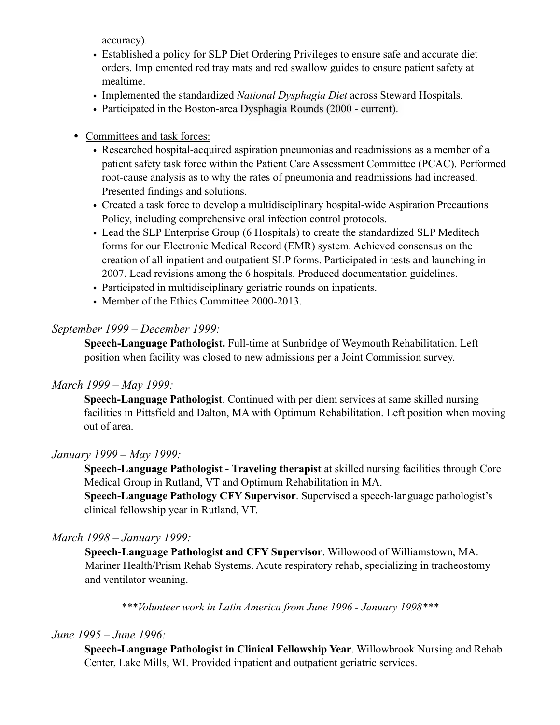accuracy).

- Established a policy for SLP Diet Ordering Privileges to ensure safe and accurate diet orders. Implemented red tray mats and red swallow guides to ensure patient safety at mealtime.
- Implemented the standardized *National Dysphagia Diet* across Steward Hospitals.
- Participated in the Boston-area Dysphagia Rounds (2000 current).
- Committees and task forces:
	- Researched hospital-acquired aspiration pneumonias and readmissions as a member of a patient safety task force within the Patient Care Assessment Committee (PCAC). Performed root-cause analysis as to why the rates of pneumonia and readmissions had increased. Presented findings and solutions.
	- Created a task force to develop a multidisciplinary hospital-wide Aspiration Precautions Policy, including comprehensive oral infection control protocols.
	- Lead the SLP Enterprise Group (6 Hospitals) to create the standardized SLP Meditech forms for our Electronic Medical Record (EMR) system. Achieved consensus on the creation of all inpatient and outpatient SLP forms. Participated in tests and launching in 2007. Lead revisions among the 6 hospitals. Produced documentation guidelines.
	- Participated in multidisciplinary geriatric rounds on inpatients.
	- Member of the Ethics Committee 2000-2013.

#### *September 1999 – December 1999:*

**Speech-Language Pathologist.** Full-time at Sunbridge of Weymouth Rehabilitation. Left position when facility was closed to new admissions per a Joint Commission survey.

#### *March 1999 – May 1999:*

**Speech-Language Pathologist**. Continued with per diem services at same skilled nursing facilities in Pittsfield and Dalton, MA with Optimum Rehabilitation. Left position when moving out of area.

#### *January 1999 – May 1999:*

**Speech-Language Pathologist - Traveling therapist** at skilled nursing facilities through Core Medical Group in Rutland, VT and Optimum Rehabilitation in MA.

**Speech-Language Pathology CFY Supervisor**. Supervised a speech-language pathologist's clinical fellowship year in Rutland, VT.

#### *March 1998 – January 1999:*

**Speech-Language Pathologist and CFY Supervisor**. Willowood of Williamstown, MA. Mariner Health/Prism Rehab Systems. Acute respiratory rehab, specializing in tracheostomy and ventilator weaning.

*\*\*\*Volunteer work in Latin America from June 1996 - January 1998\*\*\**

#### *June 1995 – June 1996:*

**Speech-Language Pathologist in Clinical Fellowship Year**. Willowbrook Nursing and Rehab Center, Lake Mills, WI. Provided inpatient and outpatient geriatric services.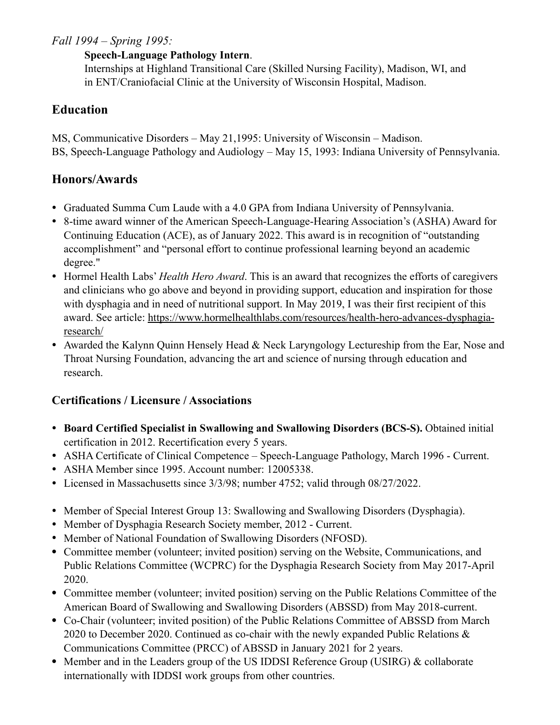## *Fall 1994 – Spring 1995:*

#### **Speech-Language Pathology Intern**.

Internships at Highland Transitional Care (Skilled Nursing Facility), Madison, WI, and in ENT/Craniofacial Clinic at the University of Wisconsin Hospital, Madison.

## **Education**

MS, Communicative Disorders – May 21,1995: University of Wisconsin – Madison. BS, Speech-Language Pathology and Audiology – May 15, 1993: Indiana University of Pennsylvania.

## **Honors/Awards**

- Graduated Summa Cum Laude with a 4.0 GPA from Indiana University of Pennsylvania.
- 8-time award winner of the American Speech-Language-Hearing Association's (ASHA) Award for Continuing Education (ACE), as of January 2022. This award is in recognition of "outstanding accomplishment" and "personal effort to continue professional learning beyond an academic degree."
- Hormel Health Labs' *Health Hero Award*. This is an award that recognizes the efforts of caregivers and clinicians who go above and beyond in providing support, education and inspiration for those with dysphagia and in need of nutritional support. In May 2019, I was their first recipient of this award. See article: [https://www.hormelhealthlabs.com/resources/health-hero-advances-dysphagia](https://www.hormelhealthlabs.com/resources/health-hero-advances-dysphagia-research/)[research/](https://www.hormelhealthlabs.com/resources/health-hero-advances-dysphagia-research/)
- Awarded the Kalynn Quinn Hensely Head & Neck Laryngology Lectureship from the Ear, Nose and Throat Nursing Foundation, advancing the art and science of nursing through education and research.

## **Certifications / Licensure / Associations**

- **Board Certified Specialist in Swallowing and Swallowing Disorders (BCS-S).** Obtained initial certification in 2012. Recertification every 5 years.
- ASHA Certificate of Clinical Competence Speech-Language Pathology, March 1996 Current.
- ASHA Member since 1995. Account number: 12005338.
- Licensed in Massachusetts since 3/3/98; number 4752; valid through 08/27/2022.
- Member of Special Interest Group 13: Swallowing and Swallowing Disorders (Dysphagia).
- Member of Dysphagia Research Society member, 2012 Current.
- Member of National Foundation of Swallowing Disorders (NFOSD).
- **•** Committee member (volunteer; invited position) serving on the Website, Communications, and Public Relations Committee (WCPRC) for the Dysphagia Research Society from May 2017-April 2020.
- Committee member (volunteer; invited position) serving on the Public Relations Committee of the American Board of Swallowing and Swallowing Disorders (ABSSD) from May 2018-current.
- **•** Co-Chair (volunteer; invited position) of the Public Relations Committee of ABSSD from March 2020 to December 2020. Continued as co-chair with the newly expanded Public Relations & Communications Committee (PRCC) of ABSSD in January 2021 for 2 years.
- **•** Member and in the Leaders group of the US IDDSI Reference Group (USIRG) & collaborate internationally with IDDSI work groups from other countries.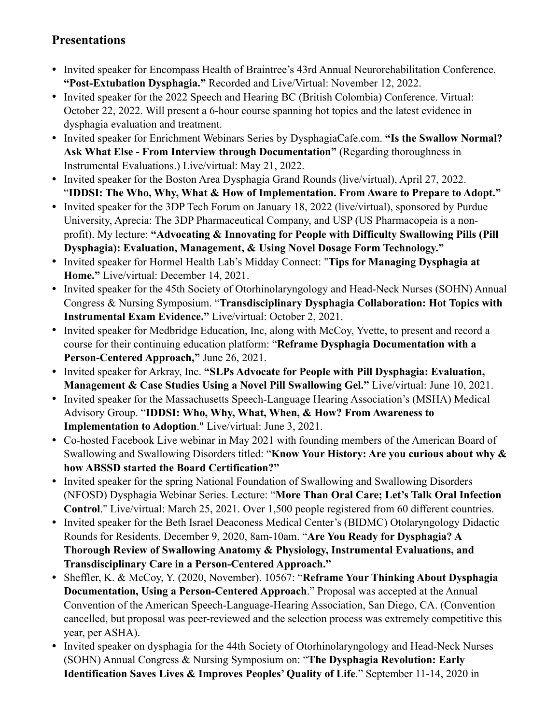## **Presentations**

- Invited speaker for Encompass Health of Braintree's 43rd Annual Neurorehabilitation Conference. **"Post-Extubation Dysphagia."** Recorded and Live/Virtual: November 12, 2022.
- Invited speaker for the 2022 Speech and Hearing BC (British Colombia) Conference. Virtual: October 22, 2022. Will present a 6-hour course spanning hot topics and the latest evidence in dysphagia evaluation and treatment.
- Invited speaker for Enrichment Webinars Series by DysphagiaCafe.com. **"Is the Swallow Normal? Ask What Else - From Interview through Documentation"** (Regarding thoroughness in Instrumental Evaluations.) Live/virtual: May 21, 2022.
- Invited speaker for the Boston Area Dysphagia Grand Rounds (live/virtual), April 27, 2022. "**IDDSI: The Who, Why, What & How of Implementation. From Aware to Prepare to Adopt."**
- Invited speaker for the 3DP Tech Forum on January 18, 2022 (live/virtual), sponsored by Purdue University, Aprecia: The 3DP Pharmaceutical Company, and USP (US Pharmacopeia is a nonprofit). My lecture: **"Advocating & Innovating for People with Difficulty Swallowing Pills (Pill Dysphagia): Evaluation, Management, & Using Novel Dosage Form Technology."**
- Invited speaker for Hormel Health Lab's Midday Connect: "**Tips for Managing Dysphagia at Home."** Live/virtual: December 14, 2021.
- Invited speaker for the 45th Society of Otorhinolaryngology and Head-Neck Nurses (SOHN) Annual Congress & Nursing Symposium. "**Transdisciplinary Dysphagia Collaboration: Hot Topics with Instrumental Exam Evidence."** Live/virtual: October 2, 2021.
- Invited speaker for Medbridge Education, Inc, along with McCoy, Yvette, to present and record a course for their continuing education platform: "**Reframe Dysphagia Documentation with a Person-Centered Approach,"** June 26, 2021.
- Invited speaker for Arkray, Inc. **"SLPs Advocate for People with Pill Dysphagia: Evaluation, Management & Case Studies Using a Novel Pill Swallowing Gel."** Live/virtual: June 10, 2021.
- Invited speaker for the Massachusetts Speech-Language Hearing Association's (MSHA) Medical Advisory Group. "**IDDSI: Who, Why, What, When, & How? From Awareness to Implementation to Adoption**." Live/virtual: June 3, 2021.
- Co-hosted Facebook Live webinar in May 2021 with founding members of the American Board of Swallowing and Swallowing Disorders titled: "**Know Your History: Are you curious about why & how ABSSD started the Board Certification?"**
- Invited speaker for the spring National Foundation of Swallowing and Swallowing Disorders (NFOSD) Dysphagia Webinar Series. Lecture: "**More Than Oral Care; Let's Talk Oral Infection Control**." Live/virtual: March 25, 2021. Over 1,500 people registered from 60 different countries.
- Invited speaker for the Beth Israel Deaconess Medical Center's (BIDMC) Otolaryngology Didactic Rounds for Residents. December 9, 2020, 8am-10am. "**Are You Ready for Dysphagia? A Thorough Review of Swallowing Anatomy & Physiology, Instrumental Evaluations, and Transdisciplinary Care in a Person-Centered Approach."**
- Sheffler, K. & McCoy, Y. (2020, November). 10567: "**Reframe Your Thinking About Dysphagia Documentation, Using a Person-Centered Approach**." Proposal was accepted at the Annual Convention of the American Speech-Language-Hearing Association, San Diego, CA. (Convention cancelled, but proposal was peer-reviewed and the selection process was extremely competitive this year, per ASHA).
- Invited speaker on dysphagia for the 44th Society of Otorhinolaryngology and Head-Neck Nurses (SOHN) Annual Congress & Nursing Symposium on: "**The Dysphagia Revolution: Early Identification Saves Lives & Improves Peoples' Quality of Life**." September 11-14, 2020 in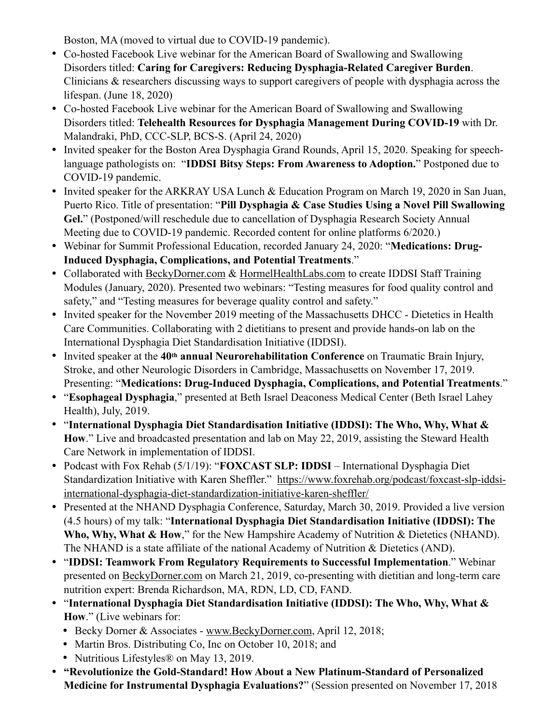Boston, MA (moved to virtual due to COVID-19 pandemic).

- Co-hosted Facebook Live webinar for the American Board of Swallowing and Swallowing Disorders titled: **Caring for Caregivers: Reducing Dysphagia-Related Caregiver Burden**. Clinicians & researchers discussing ways to support caregivers of people with dysphagia across the lifespan. (June 18, 2020)
- Co-hosted Facebook Live webinar for the American Board of Swallowing and Swallowing Disorders titled: **Telehealth Resources for Dysphagia Management During COVID-19** with Dr. Malandraki, PhD, CCC-SLP, BCS-S. (April 24, 2020)
- Invited speaker for the Boston Area Dysphagia Grand Rounds, April 15, 2020. Speaking for speechlanguage pathologists on: "**IDDSI Bitsy Steps: From Awareness to Adoption.**" Postponed due to COVID-19 pandemic.
- Invited speaker for the ARKRAY USA Lunch & Education Program on March 19, 2020 in San Juan, Puerto Rico. Title of presentation: "**Pill Dysphagia & Case Studies Using a Novel Pill Swallowing Gel.**" (Postponed/will reschedule due to cancellation of Dysphagia Research Society Annual Meeting due to COVID-19 pandemic. Recorded content for online platforms 6/2020.)
- Webinar for Summit Professional Education, recorded January 24, 2020: "**Medications: Drug-Induced Dysphagia, Complications, and Potential Treatments**."
- Collaborated with [BeckyDorner.com](http://BeckyDorner.com) & [HormelHealthLabs.com](http://HormelHealthLabs.com) to create IDDSI Staff Training Modules (January, 2020). Presented two webinars: "Testing measures for food quality control and safety," and "Testing measures for beverage quality control and safety."
- Invited speaker for the November 2019 meeting of the Massachusetts DHCC Dietetics in Health Care Communities. Collaborating with 2 dietitians to present and provide hands-on lab on the International Dysphagia Diet Standardisation Initiative (IDDSI).
- Invited speaker at the **40th annual Neurorehabilitation Conference** on Traumatic Brain Injury, Stroke, and other Neurologic Disorders in Cambridge, Massachusetts on November 17, 2019. Presenting: "**Medications: Drug-Induced Dysphagia, Complications, and Potential Treatments**."
- "**Esophageal Dysphagia**," presented at Beth Israel Deaconess Medical Center (Beth Israel Lahey Health), July, 2019.
- "**International Dysphagia Diet Standardisation Initiative (IDDSI): The Who, Why, What & How**." Live and broadcasted presentation and lab on May 22, 2019, assisting the Steward Health Care Network in implementation of IDDSI.
- Podcast with Fox Rehab (5/1/19): "**FOXCAST SLP: IDDSI** International Dysphagia Diet Standardization Initiative with Karen Sheffler." [https://www.foxrehab.org/podcast/foxcast-slp-iddsi](https://www.foxrehab.org/podcast/foxcast-slp-iddsi-international-dysphagia-diet-standardization-initiative-karen-sheffler/)[international-dysphagia-diet-standardization-initiative-karen-sheffler/](https://www.foxrehab.org/podcast/foxcast-slp-iddsi-international-dysphagia-diet-standardization-initiative-karen-sheffler/)
- Presented at the NHAND Dysphagia Conference, Saturday, March 30, 2019. Provided a live version (4.5 hours) of my talk: "**International Dysphagia Diet Standardisation Initiative (IDDSI): The**  Who, Why, What & How," for the New Hampshire Academy of Nutrition & Dietetics (NHAND). The NHAND is a state affiliate of the national Academy of Nutrition & Dietetics (AND).
- "**IDDSI: Teamwork From Regulatory Requirements to Successful Implementation**." Webinar presented on [BeckyDorner.com](http://BeckyDorner.com) on March 21, 2019, co-presenting with dietitian and long-term care nutrition expert: Brenda Richardson, MA, RDN, LD, CD, FAND.
- "**International Dysphagia Diet Standardisation Initiative (IDDSI): The Who, Why, What & How**." (Live webinars for:
	- Becky Dorner & Associates - [www.BeckyDorner.com](http://www.BeckyDorner.com), April 12, 2018;
	- Martin Bros. Distributing Co, Inc on October 10, 2018; and
	- Nutritious Lifestyles<sup>®</sup> on May 13, 2019.
- **"Revolutionize the Gold-Standard! How About a New Platinum-Standard of Personalized Medicine for Instrumental Dysphagia Evaluations?**" (Session presented on November 17, 2018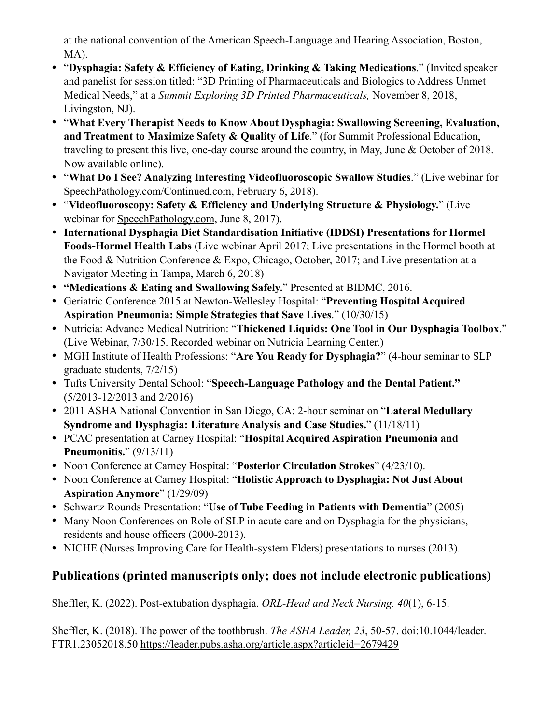at the national convention of the American Speech-Language and Hearing Association, Boston, MA).

- "**Dysphagia: Safety & Efficiency of Eating, Drinking & Taking Medications**." (Invited speaker and panelist for session titled: "3D Printing of Pharmaceuticals and Biologics to Address Unmet Medical Needs," at a *Summit Exploring 3D Printed Pharmaceuticals,* November 8, 2018, Livingston, NJ).
- "**What Every Therapist Needs to Know About Dysphagia: Swallowing Screening, Evaluation, and Treatment to Maximize Safety & Quality of Life**." (for Summit Professional Education, traveling to present this live, one-day course around the country, in May, June & October of 2018. Now available online).
- "**What Do I See? Analyzing Interesting Videofluoroscopic Swallow Studies**." (Live webinar for [SpeechPathology.com/Continued.com,](http://SpeechPathology.com/Continued.com) February 6, 2018).
- "**Videofluoroscopy: Safety & Efficiency and Underlying Structure & Physiology.**" (Live webinar for [SpeechPathology.com,](http://SpeechPathology.com) June 8, 2017).
- **International Dysphagia Diet Standardisation Initiative (IDDSI) Presentations for Hormel Foods-Hormel Health Labs** (Live webinar April 2017; Live presentations in the Hormel booth at the Food & Nutrition Conference & Expo, Chicago, October, 2017; and Live presentation at a Navigator Meeting in Tampa, March 6, 2018)
- **"Medications & Eating and Swallowing Safely.**" Presented at BIDMC, 2016.
- Geriatric Conference 2015 at Newton-Wellesley Hospital: "**Preventing Hospital Acquired Aspiration Pneumonia: Simple Strategies that Save Lives**." (10/30/15)
- Nutricia: Advance Medical Nutrition: "**Thickened Liquids: One Tool in Our Dysphagia Toolbox**." (Live Webinar, 7/30/15. Recorded webinar on Nutricia Learning Center.)
- MGH Institute of Health Professions: "**Are You Ready for Dysphagia?**" (4-hour seminar to SLP graduate students, 7/2/15)
- Tufts University Dental School: "**Speech-Language Pathology and the Dental Patient."**  (5/2013-12/2013 and 2/2016)
- 2011 ASHA National Convention in San Diego, CA: 2-hour seminar on "**Lateral Medullary Syndrome and Dysphagia: Literature Analysis and Case Studies.**" (11/18/11)
- PCAC presentation at Carney Hospital: "**Hospital Acquired Aspiration Pneumonia and Pneumonitis.**" (9/13/11)
- Noon Conference at Carney Hospital: "**Posterior Circulation Strokes**" (4/23/10).
- Noon Conference at Carney Hospital: "**Holistic Approach to Dysphagia: Not Just About Aspiration Anymore**" (1/29/09)
- Schwartz Rounds Presentation: "**Use of Tube Feeding in Patients with Dementia**" (2005)
- Many Noon Conferences on Role of SLP in acute care and on Dysphagia for the physicians, residents and house officers (2000-2013).
- NICHE (Nurses Improving Care for Health-system Elders) presentations to nurses (2013).

# **Publications (printed manuscripts only; does not include electronic publications)**

Sheffler, K. (2022). Post-extubation dysphagia. *ORL-Head and Neck Nursing. 40*(1), 6-15.

Sheffler, K. (2018). The power of the toothbrush. *The ASHA Leader, 23*, 50-57. doi:10.1044/leader. FTR1.23052018.50 <https://leader.pubs.asha.org/article.aspx?articleid=2679429>